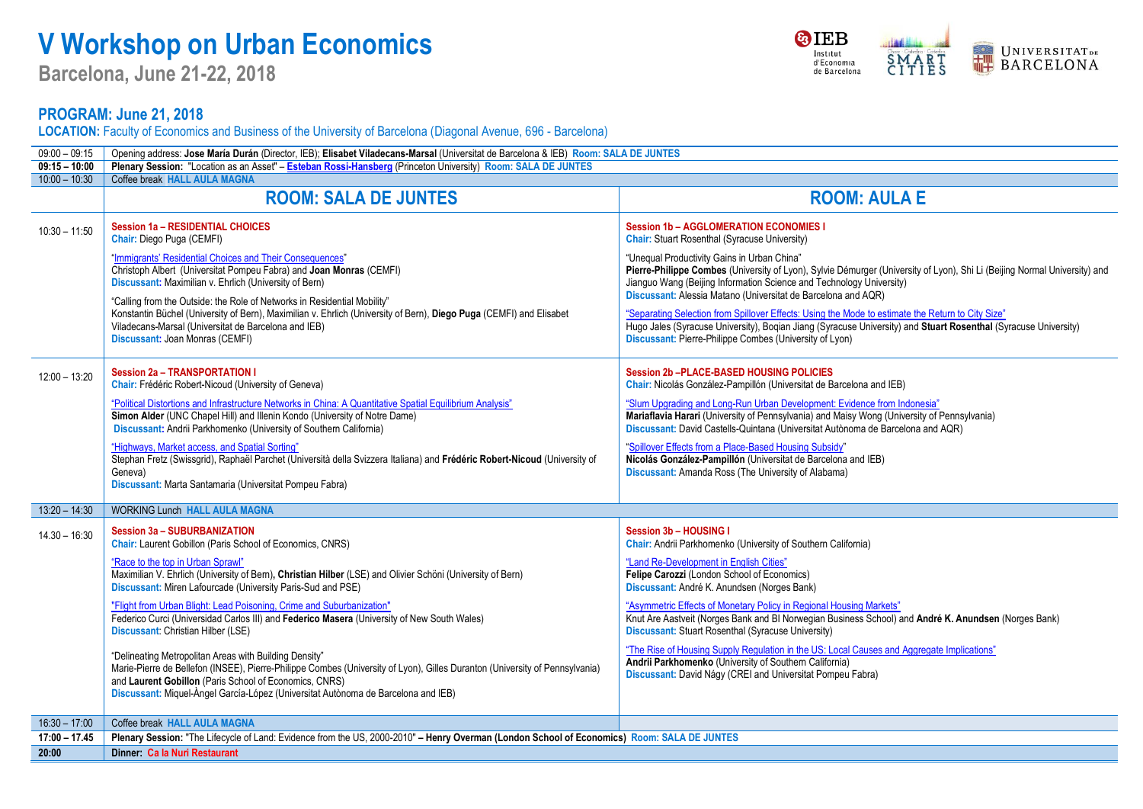## **V Workshop on Urban Economics**

**Barcelona, June 21-22, 2018**

**&IEB** UNIVERSITAT<sub>DE</sub> Institut<br>d'Economia SMART<br>CITIES de Barcelona

## **PROGRAM: June 21, 2018**

**LOCATION:** Faculty of Economics and Business of the University of Barcelona (Diagonal Avenue, 696 - Barcelona)

| $09:00 - 09:15$ | Opening address: Jose María Durán (Director, IEB); Elisabet Viladecans-Marsal (Universitat de Barcelona & IEB) Room: SALA DE JUNTES                                                                                                                                                                                                                                                                                                                                                     |                                                                                                                                                                                                                                                                                                                                                                                                                                                                                                                                                                                                      |  |  |
|-----------------|-----------------------------------------------------------------------------------------------------------------------------------------------------------------------------------------------------------------------------------------------------------------------------------------------------------------------------------------------------------------------------------------------------------------------------------------------------------------------------------------|------------------------------------------------------------------------------------------------------------------------------------------------------------------------------------------------------------------------------------------------------------------------------------------------------------------------------------------------------------------------------------------------------------------------------------------------------------------------------------------------------------------------------------------------------------------------------------------------------|--|--|
| $09:15 - 10:00$ | Plenary Session: "Location as an Asset" - Esteban Rossi-Hansberg (Princeton University) Room: SALA DE JUNTES                                                                                                                                                                                                                                                                                                                                                                            |                                                                                                                                                                                                                                                                                                                                                                                                                                                                                                                                                                                                      |  |  |
| $10:00 - 10:30$ | Coffee break HALL AULA MAGNA                                                                                                                                                                                                                                                                                                                                                                                                                                                            |                                                                                                                                                                                                                                                                                                                                                                                                                                                                                                                                                                                                      |  |  |
|                 | <b>ROOM: SALA DE JUNTES</b>                                                                                                                                                                                                                                                                                                                                                                                                                                                             | <b>ROOM: AULA E</b>                                                                                                                                                                                                                                                                                                                                                                                                                                                                                                                                                                                  |  |  |
| $10:30 - 11:50$ | <b>Session 1a - RESIDENTIAL CHOICES</b><br>Chair: Diego Puga (CEMFI)                                                                                                                                                                                                                                                                                                                                                                                                                    | <b>Session 1b - AGGLOMERATION ECONOMIES I</b><br><b>Chair:</b> Stuart Rosenthal (Syracuse University)                                                                                                                                                                                                                                                                                                                                                                                                                                                                                                |  |  |
|                 | "Immigrants' Residential Choices and Their Consequences"<br>Christoph Albert (Universitat Pompeu Fabra) and Joan Monras (CEMFI)<br>Discussant: Maximilian v. Ehrlich (University of Bern)<br>"Calling from the Outside: the Role of Networks in Residential Mobility"<br>Konstantin Büchel (University of Bern), Maximilian v. Ehrlich (University of Bern), Diego Puga (CEMFI) and Elisabet<br>Viladecans-Marsal (Universitat de Barcelona and IEB)<br>Discussant: Joan Monras (CEMFI) | "Unequal Productivity Gains in Urban China"<br>Pierre-Philippe Combes (University of Lyon), Sylvie Démurger (University of Lyon), Shi Li (Beijing Normal University) and<br>Jianguo Wang (Beijing Information Science and Technology University)<br>Discussant: Alessia Matano (Universitat de Barcelona and AQR)<br>"Separating Selection from Spillover Effects: Using the Mode to estimate the Return to City Size"<br>Hugo Jales (Syracuse University), Bogian Jiang (Syracuse University) and Stuart Rosenthal (Syracuse University)<br>Discussant: Pierre-Philippe Combes (University of Lyon) |  |  |
| $12:00 - 13:20$ | <b>Session 2a - TRANSPORTATION I</b><br>Chair: Frédéric Robert-Nicoud (University of Geneva)<br>"Political Distortions and Infrastructure Networks in China: A Quantitative Spatial Equilibrium Analysis"<br>Simon Alder (UNC Chapel Hill) and Illenin Kondo (University of Notre Dame)                                                                                                                                                                                                 | <b>Session 2b-PLACE-BASED HOUSING POLICIES</b><br>Chair: Nicolás González-Pampillón (Universitat de Barcelona and IEB)<br>"Slum Upgrading and Long-Run Urban Development: Evidence from Indonesia"<br>Mariaflavia Harari (University of Pennsylvania) and Maisy Wong (University of Pennsylvania)                                                                                                                                                                                                                                                                                                    |  |  |
|                 | Discussant: Andrii Parkhomenko (University of Southern California)<br>"Highways, Market access, and Spatial Sorting"<br>Stephan Fretz (Swissgrid), Raphaël Parchet (Università della Svizzera Italiana) and Frédéric Robert-Nicoud (University of<br>Geneva)<br>Discussant: Marta Santamaria (Universitat Pompeu Fabra)                                                                                                                                                                 | Discussant: David Castells-Quintana (Universitat Autònoma de Barcelona and AQR)<br>"Spillover Effects from a Place-Based Housing Subsidy"<br>Nicolás González-Pampillón (Universitat de Barcelona and IEB)<br>Discussant: Amanda Ross (The University of Alabama)                                                                                                                                                                                                                                                                                                                                    |  |  |
| $13:20 - 14:30$ | <b>WORKING Lunch HALL AULA MAGNA</b>                                                                                                                                                                                                                                                                                                                                                                                                                                                    |                                                                                                                                                                                                                                                                                                                                                                                                                                                                                                                                                                                                      |  |  |
| $14.30 - 16.30$ | <b>Session 3a - SUBURBANIZATION</b><br><b>Chair:</b> Laurent Gobillon (Paris School of Economics, CNRS)                                                                                                                                                                                                                                                                                                                                                                                 | Session 3b - HOUSING I<br><b>Chair:</b> Andrii Parkhomenko (University of Southern California)                                                                                                                                                                                                                                                                                                                                                                                                                                                                                                       |  |  |
|                 | "Race to the top in Urban Sprawl"<br>Maximilian V. Ehrlich (University of Bern), Christian Hilber (LSE) and Olivier Schöni (University of Bern)<br>Discussant: Miren Lafourcade (University Paris-Sud and PSE)                                                                                                                                                                                                                                                                          | "Land Re-Development in English Cities"<br>Felipe Carozzi (London School of Economics)<br>Discussant: André K. Anundsen (Norges Bank)                                                                                                                                                                                                                                                                                                                                                                                                                                                                |  |  |
|                 | "Flight from Urban Blight: Lead Poisoning, Crime and Suburbanization"<br>Federico Curci (Universidad Carlos III) and Federico Masera (University of New South Wales)<br><b>Discussant</b> Christian Hilber (LSE)                                                                                                                                                                                                                                                                        | "Asymmetric Effects of Monetary Policy in Regional Housing Markets"<br>Knut Are Aastveit (Norges Bank and BI Norwegian Business School) and André K. Anundsen (Norges Bank)<br>Discussant: Stuart Rosenthal (Syracuse University)                                                                                                                                                                                                                                                                                                                                                                    |  |  |
|                 | "Delineating Metropolitan Areas with Building Density"<br>Marie-Pierre de Bellefon (INSEE), Pierre-Philippe Combes (University of Lyon), Gilles Duranton (University of Pennsylvania)<br>and Laurent Gobillon (Paris School of Economics, CNRS)<br>Discussant: Miquel-Àngel García-López (Universitat Autònoma de Barcelona and IEB)                                                                                                                                                    | "The Rise of Housing Supply Regulation in the US: Local Causes and Aggregate Implications"<br>Andrii Parkhomenko (University of Southern California)<br>Discussant: David Nágy (CREI and Universitat Pompeu Fabra)                                                                                                                                                                                                                                                                                                                                                                                   |  |  |
| $16:30 - 17:00$ | Coffee break HALL AULA MAGNA                                                                                                                                                                                                                                                                                                                                                                                                                                                            |                                                                                                                                                                                                                                                                                                                                                                                                                                                                                                                                                                                                      |  |  |
| $17:00 - 17.45$ | Plenary Session: "The Lifecycle of Land: Evidence from the US, 2000-2010" - Henry Overman (London School of Economics) Room: SALA DE JUNTES                                                                                                                                                                                                                                                                                                                                             |                                                                                                                                                                                                                                                                                                                                                                                                                                                                                                                                                                                                      |  |  |
| 20:00           | Dinner Ca la Nuri Restaurant                                                                                                                                                                                                                                                                                                                                                                                                                                                            |                                                                                                                                                                                                                                                                                                                                                                                                                                                                                                                                                                                                      |  |  |
|                 |                                                                                                                                                                                                                                                                                                                                                                                                                                                                                         |                                                                                                                                                                                                                                                                                                                                                                                                                                                                                                                                                                                                      |  |  |